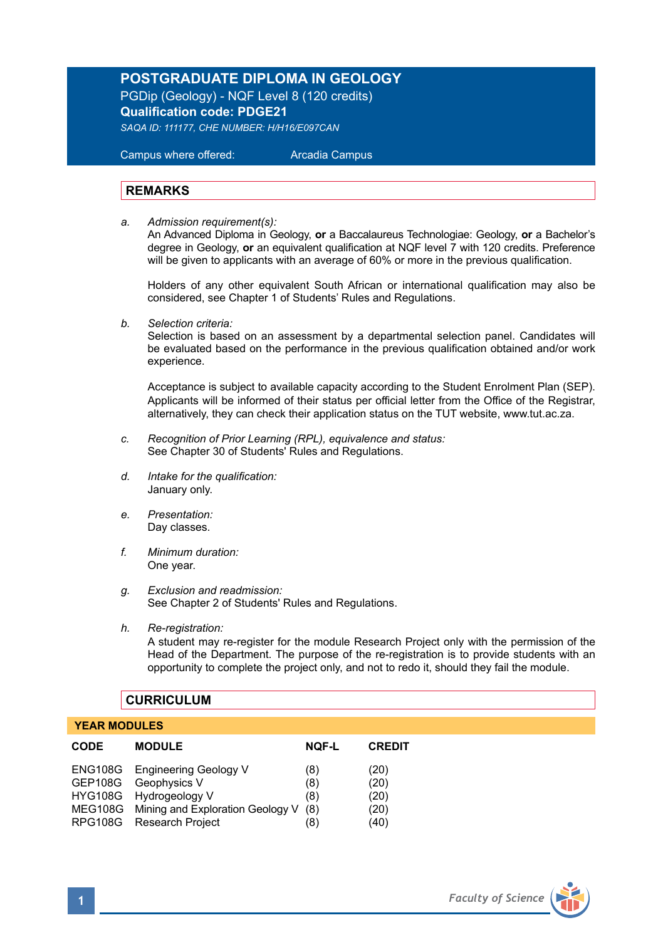# **POSTGRADUATE DIPLOMA IN GEOLOGY**

PGDip (Geology) - NQF Level 8 (120 credits) **Qualification code: PDGE21**

*SAQA ID: 111177, CHE NUMBER: H/H16/E097CAN* 

 Campus where offered: Arcadia Campus

#### **REMARKS**

*a. Admission requirement(s):* 

An Advanced Diploma in Geology, **or** a Baccalaureus Technologiae: Geology, **or** a Bachelor's degree in Geology, **or** an equivalent qualification at NQF level 7 with 120 credits. Preference will be given to applicants with an average of 60% or more in the previous qualification.

Holders of any other equivalent South African or international qualification may also be considered, see Chapter 1 of Students' Rules and Regulations.

*b. Selection criteria:*

Selection is based on an assessment by a departmental selection panel. Candidates will be evaluated based on the performance in the previous qualification obtained and/or work experience.

Acceptance is subject to available capacity according to the Student Enrolment Plan (SEP). Applicants will be informed of their status per official letter from the Office of the Registrar, alternatively, they can check their application status on the TUT website, www.tut.ac.za.

- *c. Recognition of Prior Learning (RPL), equivalence and status:* See Chapter 30 of Students' Rules and Regulations.
- *d. Intake for the qualification:* January only.
- *e. Presentation:* Day classes.
- *f. Minimum duration:* One year.
- *g. Exclusion and readmission:* See Chapter 2 of Students' Rules and Regulations.
- *h. Re-registration:* A student may re-register for the module Research Project only with the permission of the Head of the Department. The purpose of the re-registration is to provide students with an opportunity to complete the project only, and not to redo it, should they fail the module.

#### **CURRICULUM**

#### **YEAR MODULES**

| <b>CODE</b> | <b>MODULE</b>                            | <b>NOF-L</b> | <b>CREDIT</b> |
|-------------|------------------------------------------|--------------|---------------|
|             | ENG108G Engineering Geology V            | (8)          | (20)          |
|             | GEP108G Geophysics V                     | (8)          | (20)          |
|             | HYG108G Hydrogeology V                   | (8)          | (20)          |
|             | MEG108G Mining and Exploration Geology V | (8)          | (20)          |
|             | RPG108G Research Project                 | (8)          | (40)          |
|             |                                          |              |               |